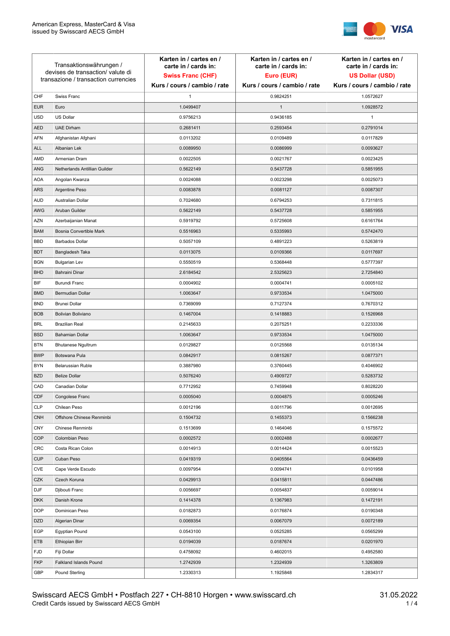

| Transaktionswährungen /<br>devises de transaction/valute di<br>transazione / transaction currencies |                               | Karten in / cartes en /<br>carte in / cards in:<br><b>Swiss Franc (CHF)</b> | Karten in / cartes en /<br>carte in / cards in:<br>Euro (EUR) | Karten in / cartes en /<br>carte in / cards in:<br><b>US Dollar (USD)</b> |
|-----------------------------------------------------------------------------------------------------|-------------------------------|-----------------------------------------------------------------------------|---------------------------------------------------------------|---------------------------------------------------------------------------|
|                                                                                                     |                               | Kurs / cours / cambio / rate                                                | Kurs / cours / cambio / rate                                  | Kurs / cours / cambio / rate                                              |
| CHF                                                                                                 | Swiss Franc                   | $\mathbf{1}$                                                                | 0.9824251                                                     | 1.0572627                                                                 |
| <b>EUR</b>                                                                                          | Euro                          | 1.0499407                                                                   | $\mathbf{1}$                                                  | 1.0928572                                                                 |
| <b>USD</b>                                                                                          | <b>US Dollar</b>              | 0.9756213                                                                   | 0.9436185                                                     | 1                                                                         |
| <b>AED</b>                                                                                          | <b>UAE Dirham</b>             | 0.2681411                                                                   | 0.2593454                                                     | 0.2791014                                                                 |
| AFN                                                                                                 | Afghanistan Afghani           | 0.0113202                                                                   | 0.0109489                                                     | 0.0117829                                                                 |
| <b>ALL</b>                                                                                          | Albanian Lek                  | 0.0089950                                                                   | 0.0086999                                                     | 0.0093627                                                                 |
| AMD                                                                                                 | Armenian Dram                 | 0.0022505                                                                   | 0.0021767                                                     | 0.0023425                                                                 |
| <b>ANG</b>                                                                                          | Netherlands Antillian Guilder | 0.5622149                                                                   | 0.5437728                                                     | 0.5851955                                                                 |
| <b>AOA</b>                                                                                          | Angolan Kwanza                | 0.0024088                                                                   | 0.0023298                                                     | 0.0025073                                                                 |
| <b>ARS</b>                                                                                          | Argentine Peso                | 0.0083878                                                                   | 0.0081127                                                     | 0.0087307                                                                 |
| <b>AUD</b>                                                                                          | Australian Dollar             | 0.7024680                                                                   | 0.6794253                                                     | 0.7311815                                                                 |
| AWG                                                                                                 | Aruban Guilder                | 0.5622149                                                                   | 0.5437728                                                     | 0.5851955                                                                 |
| <b>AZN</b>                                                                                          | Azerbaijanian Manat           | 0.5919792                                                                   | 0.5725608                                                     | 0.6161764                                                                 |
| <b>BAM</b>                                                                                          | Bosnia Convertible Mark       | 0.5516963                                                                   | 0.5335993                                                     | 0.5742470                                                                 |
| <b>BBD</b>                                                                                          | <b>Barbados Dollar</b>        | 0.5057109                                                                   | 0.4891223                                                     | 0.5263819                                                                 |
| <b>BDT</b>                                                                                          | Bangladesh Taka               | 0.0113075                                                                   | 0.0109366                                                     | 0.0117697                                                                 |
| <b>BGN</b>                                                                                          | <b>Bulgarian Lev</b>          | 0.5550519                                                                   | 0.5368448                                                     | 0.5777397                                                                 |
| <b>BHD</b>                                                                                          | Bahraini Dinar                | 2.6184542                                                                   | 2.5325623                                                     | 2.7254840                                                                 |
| <b>BIF</b>                                                                                          | Burundi Franc                 | 0.0004902                                                                   | 0.0004741                                                     | 0.0005102                                                                 |
| <b>BMD</b>                                                                                          | Bermudian Dollar              | 1.0063647                                                                   | 0.9733534                                                     | 1.0475000                                                                 |
| <b>BND</b>                                                                                          | <b>Brunei Dollar</b>          | 0.7369099                                                                   | 0.7127374                                                     | 0.7670312                                                                 |
| <b>BOB</b>                                                                                          | Bolivian Boliviano            | 0.1467004                                                                   | 0.1418883                                                     | 0.1526968                                                                 |
| <b>BRL</b>                                                                                          | <b>Brazilian Real</b>         | 0.2145633                                                                   | 0.2075251                                                     | 0.2233336                                                                 |
| <b>BSD</b>                                                                                          | Bahamian Dollar               | 1.0063647                                                                   | 0.9733534                                                     | 1.0475000                                                                 |
| <b>BTN</b>                                                                                          | <b>Bhutanese Ngultrum</b>     | 0.0129827                                                                   | 0.0125568                                                     | 0.0135134                                                                 |
| <b>BWP</b>                                                                                          | Botswana Pula                 | 0.0842917                                                                   | 0.0815267                                                     | 0.0877371                                                                 |
| <b>BYN</b>                                                                                          | Belarussian Ruble             | 0.3887980                                                                   | 0.3760445                                                     | 0.4046902                                                                 |
| <b>BZD</b>                                                                                          | <b>Belize Dollar</b>          | 0.5076240                                                                   | 0.4909727                                                     | 0.5283732                                                                 |
| CAD                                                                                                 | Canadian Dollar               | 0.7712952                                                                   | 0.7459948                                                     | 0.8028220                                                                 |
| CDF                                                                                                 | Congolese Franc               | 0.0005040                                                                   | 0.0004875                                                     | 0.0005246                                                                 |
| <b>CLP</b>                                                                                          | Chilean Peso                  | 0.0012196                                                                   | 0.0011796                                                     | 0.0012695                                                                 |
| <b>CNH</b>                                                                                          | Offshore Chinese Renminbi     | 0.1504732                                                                   | 0.1455373                                                     | 0.1566238                                                                 |
| <b>CNY</b>                                                                                          | Chinese Renminbi              | 0.1513699                                                                   | 0.1464046                                                     | 0.1575572                                                                 |
| <b>COP</b>                                                                                          | Colombian Peso                | 0.0002572                                                                   | 0.0002488                                                     | 0.0002677                                                                 |
| <b>CRC</b>                                                                                          | Costa Rican Colon             | 0.0014913                                                                   | 0.0014424                                                     | 0.0015523                                                                 |
| <b>CUP</b>                                                                                          | Cuban Peso                    | 0.0419319                                                                   | 0.0405564                                                     | 0.0436459                                                                 |
| CVE                                                                                                 | Cape Verde Escudo             | 0.0097954                                                                   | 0.0094741                                                     | 0.0101958                                                                 |
| CZK                                                                                                 | Czech Koruna                  | 0.0429913                                                                   | 0.0415811                                                     | 0.0447486                                                                 |
| <b>DJF</b>                                                                                          | Djibouti Franc                | 0.0056697                                                                   | 0.0054837                                                     | 0.0059014                                                                 |
| <b>DKK</b>                                                                                          | Danish Krone                  | 0.1414378                                                                   | 0.1367983                                                     | 0.1472191                                                                 |
| <b>DOP</b>                                                                                          | Dominican Peso                | 0.0182873                                                                   | 0.0176874                                                     | 0.0190348                                                                 |
| <b>DZD</b>                                                                                          | Algerian Dinar                | 0.0069354                                                                   | 0.0067079                                                     | 0.0072189                                                                 |
| EGP                                                                                                 | Egyptian Pound                | 0.0543100                                                                   | 0.0525285                                                     | 0.0565299                                                                 |
| ETB                                                                                                 | Ethiopian Birr                | 0.0194039                                                                   | 0.0187674                                                     | 0.0201970                                                                 |
| <b>FJD</b>                                                                                          | Fiji Dollar                   | 0.4758092                                                                   | 0.4602015                                                     | 0.4952580                                                                 |
| <b>FKP</b>                                                                                          | Falkland Islands Pound        | 1.2742939                                                                   | 1.2324939                                                     | 1.3263809                                                                 |
| GBP                                                                                                 | Pound Sterling                | 1.2330313                                                                   | 1.1925848                                                     | 1.2834317                                                                 |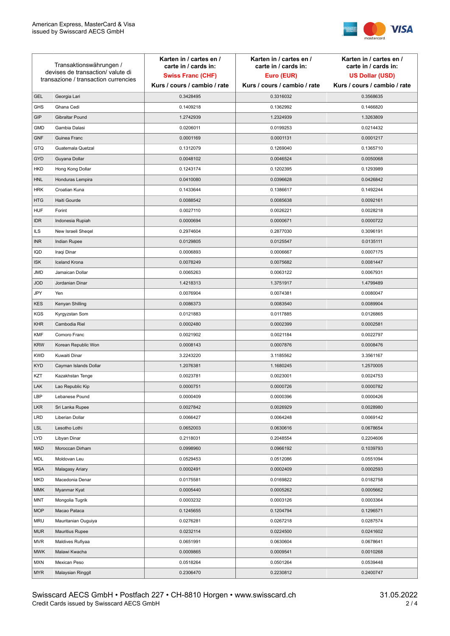

| Transaktionswährungen /<br>devises de transaction/ valute di |                                      | Karten in / cartes en /<br>carte in / cards in: | Karten in / cartes en /<br>carte in / cards in: | Karten in / cartes en /<br>carte in / cards in: |
|--------------------------------------------------------------|--------------------------------------|-------------------------------------------------|-------------------------------------------------|-------------------------------------------------|
|                                                              |                                      | <b>Swiss Franc (CHF)</b>                        | Euro (EUR)                                      | <b>US Dollar (USD)</b>                          |
|                                                              | transazione / transaction currencies | Kurs / cours / cambio / rate                    | Kurs / cours / cambio / rate                    | Kurs / cours / cambio / rate                    |
| <b>GEL</b>                                                   | Georgia Lari                         | 0.3428495                                       | 0.3316032                                       | 0.3568635                                       |
| <b>GHS</b>                                                   | Ghana Cedi                           | 0.1409218                                       | 0.1362992                                       | 0.1466820                                       |
| GIP                                                          | Gibraltar Pound                      | 1.2742939                                       | 1.2324939                                       | 1.3263809                                       |
| <b>GMD</b>                                                   | Gambia Dalasi                        | 0.0206011                                       | 0.0199253                                       | 0.0214432                                       |
| <b>GNF</b>                                                   | Guinea Franc                         | 0.0001169                                       | 0.0001131                                       | 0.0001217                                       |
| GTQ                                                          | Guatemala Quetzal                    | 0.1312079                                       | 0.1269040                                       | 0.1365710                                       |
| <b>GYD</b>                                                   | Guyana Dollar                        | 0.0048102                                       | 0.0046524                                       | 0.0050068                                       |
| <b>HKD</b>                                                   | Hong Kong Dollar                     | 0.1243174                                       | 0.1202395                                       | 0.1293989                                       |
| <b>HNL</b>                                                   | Honduras Lempira                     | 0.0410080                                       | 0.0396628                                       | 0.0426842                                       |
| <b>HRK</b>                                                   | Croatian Kuna                        | 0.1433644                                       | 0.1386617                                       | 0.1492244                                       |
| <b>HTG</b>                                                   | Haiti Gourde                         | 0.0088542                                       | 0.0085638                                       | 0.0092161                                       |
| <b>HUF</b>                                                   | Forint                               | 0.0027110                                       | 0.0026221                                       | 0.0028218                                       |
| <b>IDR</b>                                                   | Indonesia Rupiah                     | 0.0000694                                       | 0.0000671                                       | 0.0000722                                       |
| <b>ILS</b>                                                   | New Israeli Sheqel                   | 0.2974604                                       | 0.2877030                                       | 0.3096191                                       |
| <b>INR</b>                                                   | Indian Rupee                         | 0.0129805                                       | 0.0125547                                       | 0.0135111                                       |
| IQD                                                          | Iraqi Dinar                          | 0.0006893                                       | 0.0006667                                       | 0.0007175                                       |
| <b>ISK</b>                                                   | <b>Iceland Krona</b>                 | 0.0078249                                       | 0.0075682                                       | 0.0081447                                       |
| JMD                                                          | Jamaican Dollar                      | 0.0065263                                       | 0.0063122                                       | 0.0067931                                       |
| <b>JOD</b>                                                   | Jordanian Dinar                      | 1.4218313                                       | 1.3751917                                       | 1.4799489                                       |
| JPY                                                          | Yen                                  | 0.0076904                                       | 0.0074381                                       | 0.0080047                                       |
| <b>KES</b>                                                   | Kenyan Shilling                      | 0.0086373                                       | 0.0083540                                       | 0.0089904                                       |
| <b>KGS</b>                                                   | Kyrgyzstan Som                       | 0.0121883                                       | 0.0117885                                       | 0.0126865                                       |
| <b>KHR</b>                                                   | Cambodia Riel                        | 0.0002480                                       | 0.0002399                                       | 0.0002581                                       |
| <b>KMF</b>                                                   | Comoro Franc                         | 0.0021902                                       | 0.0021184                                       | 0.0022797                                       |
| <b>KRW</b>                                                   | Korean Republic Won                  | 0.0008143                                       | 0.0007876                                       | 0.0008476                                       |
| <b>KWD</b>                                                   | Kuwaiti Dinar                        | 3.2243220                                       | 3.1185562                                       | 3.3561167                                       |
| <b>KYD</b>                                                   | Cayman Islands Dollar                | 1.2076381                                       | 1.1680245                                       | 1.2570005                                       |
| KZT                                                          | Kazakhstan Tenge                     | 0.0023781                                       | 0.0023001                                       | 0.0024753                                       |
| LAK                                                          | Lao Republic Kip                     | 0.0000751                                       | 0.0000726                                       | 0.0000782                                       |
| LBP                                                          | Lebanese Pound                       | 0.0000409                                       | 0.0000396                                       | 0.0000426                                       |
| <b>LKR</b>                                                   | Sri Lanka Rupee                      | 0.0027842                                       | 0.0026929                                       | 0.0028980                                       |
| <b>LRD</b>                                                   | Liberian Dollar                      | 0.0066427                                       | 0.0064248                                       | 0.0069142                                       |
| <b>LSL</b>                                                   | Lesotho Lothi                        | 0.0652003                                       | 0.0630616                                       | 0.0678654                                       |
| LYD                                                          | Libyan Dinar                         | 0.2118031                                       | 0.2048554                                       | 0.2204606                                       |
| <b>MAD</b>                                                   | Moroccan Dirham                      | 0.0998960                                       | 0.0966192                                       | 0.1039793                                       |
| MDL                                                          | Moldovan Leu                         | 0.0529453                                       | 0.0512086                                       | 0.0551094                                       |
| <b>MGA</b>                                                   | Malagasy Ariary                      | 0.0002491                                       | 0.0002409                                       | 0.0002593                                       |
| <b>MKD</b>                                                   | Macedonia Denar                      | 0.0175581                                       | 0.0169822                                       | 0.0182758                                       |
| MMK                                                          | Myanmar Kyat                         | 0.0005440                                       | 0.0005262                                       | 0.0005662                                       |
| MNT                                                          | Mongolia Tugrik                      | 0.0003232                                       | 0.0003126                                       | 0.0003364                                       |
| <b>MOP</b>                                                   | Macao Pataca                         | 0.1245655                                       | 0.1204794                                       | 0.1296571                                       |
| <b>MRU</b>                                                   | Mauritanian Ouguiya                  | 0.0276281                                       | 0.0267218                                       | 0.0287574                                       |
| MUR                                                          | <b>Mauritius Rupee</b>               | 0.0232114                                       | 0.0224500                                       | 0.0241602                                       |
| <b>MVR</b>                                                   | Maldives Rufiyaa                     | 0.0651991                                       | 0.0630604                                       | 0.0678641                                       |
| <b>MWK</b>                                                   | Malawi Kwacha                        | 0.0009865                                       | 0.0009541                                       | 0.0010268                                       |
| <b>MXN</b>                                                   | Mexican Peso                         | 0.0518264                                       | 0.0501264                                       | 0.0539448                                       |
| <b>MYR</b>                                                   | Malaysian Ringgit                    | 0.2306470                                       | 0.2230812                                       | 0.2400747                                       |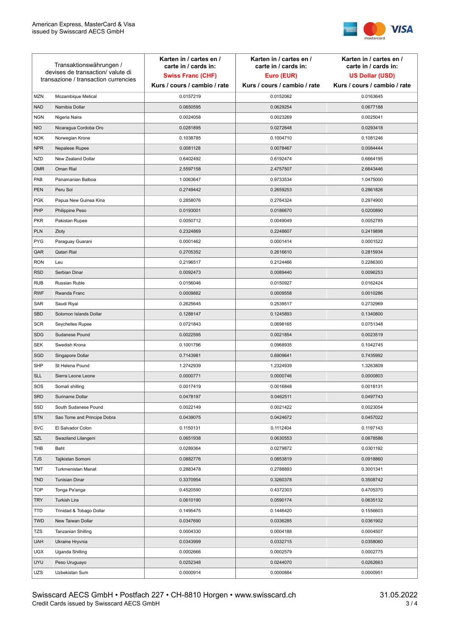

| Transaktionswährungen /<br>devises de transaction/valute di<br>transazione / transaction currencies |                             | Karten in / cartes en /<br>carte in / cards in:<br><b>Swiss Franc (CHF)</b><br>Kurs / cours / cambio / rate | Karten in / cartes en /<br>carte in / cards in:<br>Euro (EUR)<br>Kurs / cours / cambio / rate | Karten in / cartes en /<br>carte in / cards in:<br><b>US Dollar (USD)</b><br>Kurs / cours / cambio / rate |
|-----------------------------------------------------------------------------------------------------|-----------------------------|-------------------------------------------------------------------------------------------------------------|-----------------------------------------------------------------------------------------------|-----------------------------------------------------------------------------------------------------------|
|                                                                                                     |                             |                                                                                                             |                                                                                               |                                                                                                           |
| <b>MZN</b>                                                                                          | Mozambique Metical          | 0.0157219                                                                                                   | 0.0152062                                                                                     | 0.0163645                                                                                                 |
| <b>NAD</b>                                                                                          | Namibia Dollar              | 0.0650595                                                                                                   | 0.0629254                                                                                     | 0.0677188                                                                                                 |
| <b>NGN</b>                                                                                          | Nigeria Naira               | 0.0024058                                                                                                   | 0.0023269                                                                                     | 0.0025041                                                                                                 |
| <b>NIO</b>                                                                                          | Nicaragua Cordoba Oro       | 0.0281895                                                                                                   | 0.0272648                                                                                     | 0.0293418                                                                                                 |
| <b>NOK</b>                                                                                          | Norwegian Krone             | 0.1038785                                                                                                   | 0.1004710                                                                                     | 0.1081246                                                                                                 |
| <b>NPR</b>                                                                                          | Nepalese Rupee              | 0.0081128                                                                                                   | 0.0078467                                                                                     | 0.0084444                                                                                                 |
| <b>NZD</b>                                                                                          | New Zealand Dollar          | 0.6402492                                                                                                   | 0.6192474                                                                                     | 0.6664195                                                                                                 |
| <b>OMR</b>                                                                                          | Oman Rial                   | 2.5597158                                                                                                   | 2.4757507                                                                                     | 2.6643446                                                                                                 |
| PAB                                                                                                 | Panamanian Balboa           | 1.0063647                                                                                                   | 0.9733534                                                                                     | 1.0475000                                                                                                 |
| <b>PEN</b>                                                                                          | Peru Sol                    | 0.2749442                                                                                                   | 0.2659253                                                                                     | 0.2861826                                                                                                 |
| <b>PGK</b>                                                                                          | Papua New Guinea Kina       | 0.2858076                                                                                                   | 0.2764324                                                                                     | 0.2974900                                                                                                 |
| PHP                                                                                                 | Philippine Peso             | 0.0193001                                                                                                   | 0.0186670                                                                                     | 0.0200890                                                                                                 |
| <b>PKR</b>                                                                                          | Pakistan Rupee              | 0.0050712                                                                                                   | 0.0049049                                                                                     | 0.0052785                                                                                                 |
| <b>PLN</b>                                                                                          | Zloty                       | 0.2324869                                                                                                   | 0.2248607                                                                                     | 0.2419898                                                                                                 |
| <b>PYG</b>                                                                                          | Paraguay Guarani            | 0.0001462                                                                                                   | 0.0001414                                                                                     | 0.0001522                                                                                                 |
| QAR                                                                                                 | Qatari Rial                 | 0.2705352                                                                                                   | 0.2616610                                                                                     | 0.2815934                                                                                                 |
| <b>RON</b>                                                                                          | Leu                         | 0.2196517                                                                                                   | 0.2124466                                                                                     | 0.2286300                                                                                                 |
| <b>RSD</b>                                                                                          | Serbian Dinar               | 0.0092473                                                                                                   | 0.0089440                                                                                     | 0.0096253                                                                                                 |
| <b>RUB</b>                                                                                          | Russian Ruble               | 0.0156046                                                                                                   | 0.0150927                                                                                     | 0.0162424                                                                                                 |
| <b>RWF</b>                                                                                          | Rwanda Franc                | 0.0009882                                                                                                   | 0.0009558                                                                                     | 0.0010286                                                                                                 |
| SAR                                                                                                 | Saudi Riyal                 | 0.2625645                                                                                                   | 0.2539517                                                                                     | 0.2732969                                                                                                 |
| <b>SBD</b>                                                                                          | Solomon Islands Dollar      | 0.1288147                                                                                                   | 0.1245893                                                                                     | 0.1340800                                                                                                 |
| <b>SCR</b>                                                                                          | Seychelles Rupee            | 0.0721843                                                                                                   | 0.0698165                                                                                     | 0.0751348                                                                                                 |
| <b>SDG</b>                                                                                          | Sudanese Pound              | 0.0022595                                                                                                   | 0.0021854                                                                                     | 0.0023519                                                                                                 |
| <b>SEK</b>                                                                                          | Swedish Krona               | 0.1001796                                                                                                   | 0.0968935                                                                                     | 0.1042745                                                                                                 |
| SGD                                                                                                 | Singapore Dollar            | 0.7143981                                                                                                   | 0.6909641                                                                                     | 0.7435992                                                                                                 |
| <b>SHP</b>                                                                                          | St Helena Pound             | 1.2742939                                                                                                   | 1.2324939                                                                                     | 1.3263809                                                                                                 |
| <b>SLL</b>                                                                                          | Sierra Leone Leone          | 0.0000771                                                                                                   | 0.0000746                                                                                     | 0.0000803                                                                                                 |
| SOS                                                                                                 | Somali shilling             | 0.0017419                                                                                                   | 0.0016848                                                                                     | 0.0018131                                                                                                 |
| SRD                                                                                                 | Suriname Dollar             | 0.0478197                                                                                                   | 0.0462511                                                                                     | 0.0497743                                                                                                 |
| SSD                                                                                                 | South Sudanese Pound        | 0.0022149                                                                                                   | 0.0021422                                                                                     | 0.0023054                                                                                                 |
| <b>STN</b>                                                                                          | Sao Tome and Principe Dobra | 0.0439075                                                                                                   | 0.0424672                                                                                     | 0.0457022                                                                                                 |
| <b>SVC</b>                                                                                          | El Salvador Colon           | 0.1150131                                                                                                   | 0.1112404                                                                                     | 0.1197143                                                                                                 |
| SZL                                                                                                 | Swaziland Lilangeni         | 0.0651938                                                                                                   | 0.0630553                                                                                     | 0.0678586                                                                                                 |
| THB                                                                                                 | Baht                        | 0.0289364                                                                                                   | 0.0279872                                                                                     | 0.0301192                                                                                                 |
| <b>TJS</b>                                                                                          | Tajikistan Somoni           | 0.0882776                                                                                                   | 0.0853819                                                                                     | 0.0918860                                                                                                 |
| <b>TMT</b>                                                                                          | Turkmenistan Manat          | 0.2883478                                                                                                   | 0.2788893                                                                                     | 0.3001341                                                                                                 |
| <b>TND</b>                                                                                          | <b>Tunisian Dinar</b>       | 0.3370954                                                                                                   | 0.3260378                                                                                     | 0.3508742                                                                                                 |
| <b>TOP</b>                                                                                          | Tonga Pa'anga               | 0.4520590                                                                                                   | 0.4372303                                                                                     | 0.4705370                                                                                                 |
| <b>TRY</b>                                                                                          | Turkish Lira                | 0.0610190                                                                                                   | 0.0590174                                                                                     | 0.0635132                                                                                                 |
| TTD                                                                                                 | Trinidad & Tobago Dollar    | 0.1495475                                                                                                   | 0.1446420                                                                                     | 0.1556603                                                                                                 |
| <b>TWD</b>                                                                                          | New Taiwan Dollar           | 0.0347690                                                                                                   | 0.0336285                                                                                     | 0.0361902                                                                                                 |
| <b>TZS</b>                                                                                          | Tanzanian Shilling          | 0.0004330                                                                                                   | 0.0004188                                                                                     | 0.0004507                                                                                                 |
| <b>UAH</b>                                                                                          | Ukraine Hryvnia             | 0.0343999                                                                                                   | 0.0332715                                                                                     | 0.0358060                                                                                                 |
| <b>UGX</b>                                                                                          | Uganda Shilling             | 0.0002666                                                                                                   | 0.0002579                                                                                     | 0.0002775                                                                                                 |
| <b>UYU</b>                                                                                          | Peso Uruguayo               | 0.0252348                                                                                                   | 0.0244070                                                                                     | 0.0262663                                                                                                 |
| UZS                                                                                                 | Uzbekistan Sum              | 0.0000914                                                                                                   | 0.0000884                                                                                     | 0.0000951                                                                                                 |